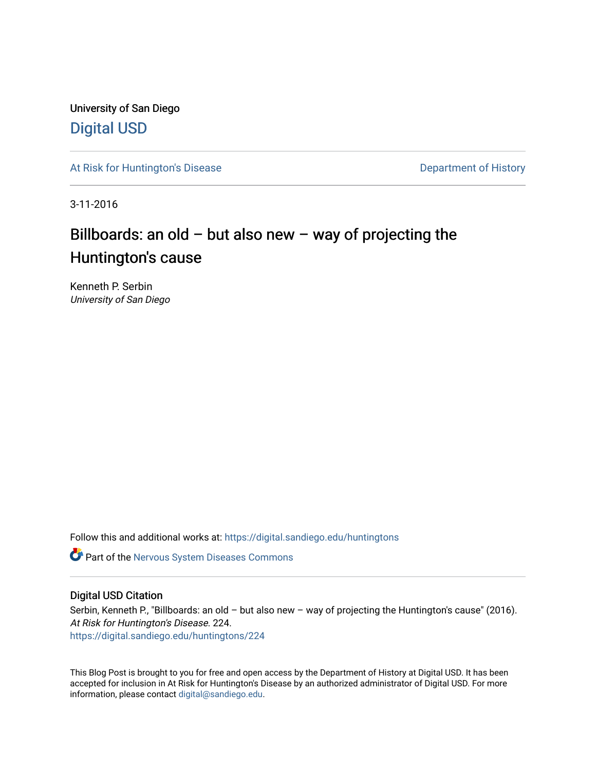University of San Diego [Digital USD](https://digital.sandiego.edu/)

[At Risk for Huntington's Disease](https://digital.sandiego.edu/huntingtons) **Department of History** Department of History

3-11-2016

## Billboards: an old – but also new – way of projecting the Huntington's cause

Kenneth P. Serbin University of San Diego

Follow this and additional works at: [https://digital.sandiego.edu/huntingtons](https://digital.sandiego.edu/huntingtons?utm_source=digital.sandiego.edu%2Fhuntingtons%2F224&utm_medium=PDF&utm_campaign=PDFCoverPages)

**C** Part of the [Nervous System Diseases Commons](http://network.bepress.com/hgg/discipline/928?utm_source=digital.sandiego.edu%2Fhuntingtons%2F224&utm_medium=PDF&utm_campaign=PDFCoverPages)

#### Digital USD Citation

Serbin, Kenneth P., "Billboards: an old - but also new - way of projecting the Huntington's cause" (2016). At Risk for Huntington's Disease. 224. [https://digital.sandiego.edu/huntingtons/224](https://digital.sandiego.edu/huntingtons/224?utm_source=digital.sandiego.edu%2Fhuntingtons%2F224&utm_medium=PDF&utm_campaign=PDFCoverPages)

This Blog Post is brought to you for free and open access by the Department of History at Digital USD. It has been accepted for inclusion in At Risk for Huntington's Disease by an authorized administrator of Digital USD. For more information, please contact [digital@sandiego.edu.](mailto:digital@sandiego.edu)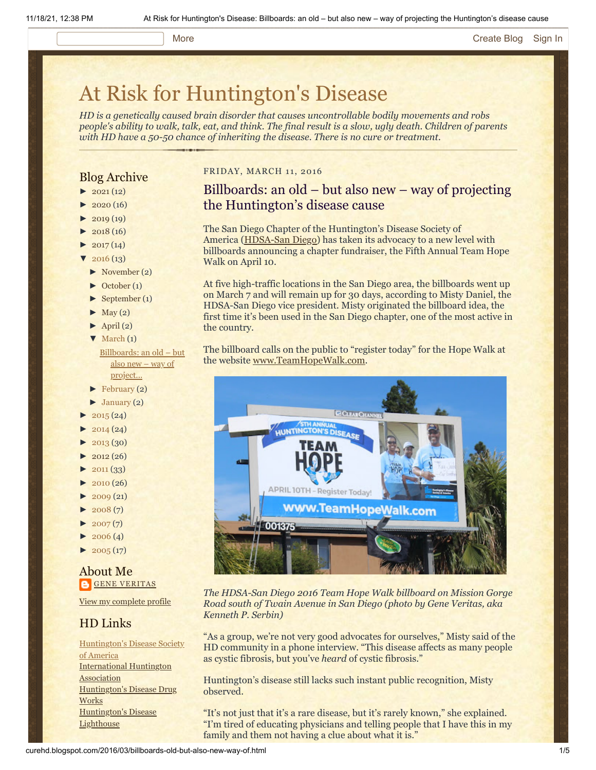#### More **[Create Blog](https://www.blogger.com/home#create) [Sign In](https://www.blogger.com/)**

# [At Risk for Huntington's Disease](http://curehd.blogspot.com/)

*HD is a genetically caused brain disorder that causes uncontrollable bodily movements and robs people's ability to walk, talk, eat, and think. The final result is a slow, ugly death. Children of parents with HD have a 50-50 chance of inheriting the disease. There is no cure or treatment.*

#### Blog Archive

- $\blacktriangleright$  [2021](http://curehd.blogspot.com/2021/) (12)
- $2020(16)$  $2020(16)$
- $2019(19)$  $2019(19)$
- $2018(16)$  $2018(16)$
- $2017(14)$  $2017(14)$
- $2016(13)$  $2016(13)$
- [►](javascript:void(0)) [November](http://curehd.blogspot.com/2016/11/) (2)
- [►](javascript:void(0)) [October](http://curehd.blogspot.com/2016/10/) (1)
- [►](javascript:void(0)) [September](http://curehd.blogspot.com/2016/09/) (1)
- $\blacktriangleright$  [May](http://curehd.blogspot.com/2016/05/) (2)
- $\blacktriangleright$  [April](http://curehd.blogspot.com/2016/04/) (2)
- $\nabla$  [March](http://curehd.blogspot.com/2016/03/) (1)
	- [Billboards:](http://curehd.blogspot.com/2016/03/billboards-old-but-also-new-way-of.html) an old but also new – way of project...
- $\blacktriangleright$  [February](http://curehd.blogspot.com/2016/02/) (2)
- $\blacktriangleright$  [January](http://curehd.blogspot.com/2016/01/) (2)
- $2015(24)$  $2015(24)$
- $2014(24)$  $2014(24)$
- [►](javascript:void(0)) [2013](http://curehd.blogspot.com/2013/) (30)
- $2012(26)$  $2012(26)$
- $\blacktriangleright$  [2011](http://curehd.blogspot.com/2011/) (33)
- $\blacktriangleright$  [2010](http://curehd.blogspot.com/2010/) (26)
- $2009(21)$  $2009(21)$
- $\blacktriangleright$  [2008](http://curehd.blogspot.com/2008/) $(7)$
- $\blacktriangleright$  [2007](http://curehd.blogspot.com/2007/) $(7)$
- $\blacktriangleright$  [2006](http://curehd.blogspot.com/2006/) (4)
- $\blacktriangleright$  [2005](http://curehd.blogspot.com/2005/) (17)

#### About Me **GENE [VERITAS](https://www.blogger.com/profile/10911736205741688185)**

View my [complete](https://www.blogger.com/profile/10911736205741688185) profile

### HD Links

[Huntington's](http://www.hdsa.org/) Disease Society of America [International](http://www.huntington-assoc.com/) Huntington **Association** [Huntington's](http://hddrugworks.org/) Disease Drug **Works** [Huntington's](http://www.hdlighthouse.org/) Disease **Lighthouse** 

#### FRIDAY, MARCH 11, 2016

## Billboards: an old – but also new – way of projecting the Huntington's disease cause

The San Diego Chapter of the Huntington's Disease Society of America ([HDSA-San Diego](http://san-diego.hdsa.org/)) has taken its advocacy to a new level with billboards announcing a chapter fundraiser, the Fifth Annual Team Hope Walk on April 10.

At five high-traffic locations in the San Diego area, the billboards went up on March 7 and will remain up for 30 days, according to Misty Daniel, the HDSA-San Diego vice president. Misty originated the billboard idea, the first time it's been used in the San Diego chapter, one of the most active in the country.

The billboard calls on the public to "register today" for the Hope Walk at the website [www.TeamHopeWalk.com.](http://www.teamhopewalk.com/)



*The HDSA-San Diego 2016 Team Hope Walk billboard on Mission Gorge Road south of Twain Avenue in San Diego (photo by Gene Veritas, aka Kenneth P. Serbin)*

"As a group, we're not very good advocates for ourselves," Misty said of the HD community in a phone interview. "This disease affects as many people as cystic fibrosis, but you've *heard* of cystic fibrosis."

Huntington's disease still lacks such instant public recognition, Misty observed.

"It's not just that it's a rare disease, but it's rarely known," she explained. "I'm tired of educating physicians and telling people that I have this in my family and them not having a clue about what it is."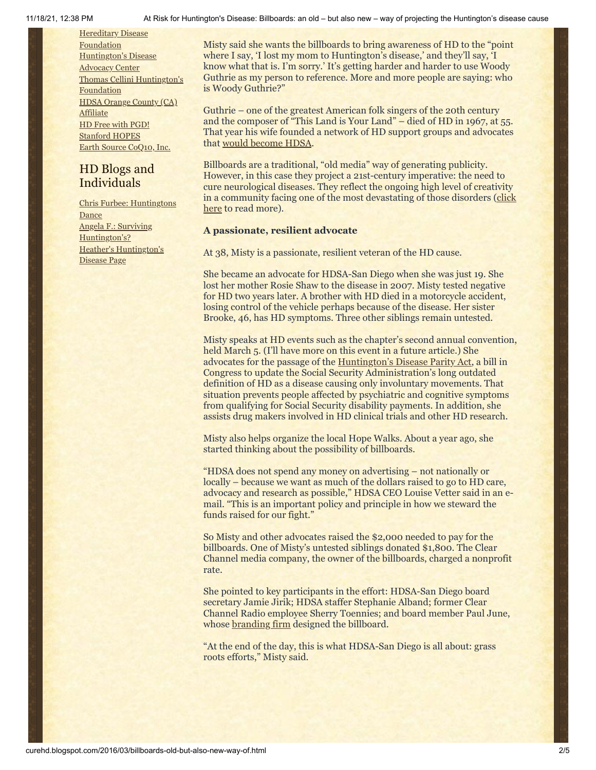**Hereditary Disease** [Foundation](http://www.hdfoundation.org/) [Huntington's](http://www.hdac.org/) Disease **Advocacy Center** Thomas [Cellini Huntington's](http://www.ourtchfoundation.org/) **Foundation** HDSA [Orange](http://www.hdsaoc.org/) County (CA) **Affiliate** HD Free with [PGD!](http://www.hdfreewithpgd.com/) [Stanford](http://www.stanford.edu/group/hopes/) HOPES Earth Source [CoQ10,](http://www.escoq10.com/) Inc.

## HD Blogs and Individuals

Chris Furbee: [Huntingtons](http://www.huntingtonsdance.org/) **Dance** Angela F.: Surviving [Huntington's?](http://survivinghuntingtons.blogspot.com/) Heather's [Huntington's](http://heatherdugdale.angelfire.com/) Disease Page

Misty said she wants the billboards to bring awareness of HD to the "point where I say, 'I lost my mom to Huntington's disease,' and they'll say, 'I know what that is. I'm sorry.' It's getting harder and harder to use Woody Guthrie as my person to reference. More and more people are saying: who is Woody Guthrie?"

Guthrie – one of the greatest American folk singers of the 20th century and the composer of "This Land is Your Land" – died of HD in 1967, at 55. That year his wife founded a network of HD support groups and advocates that [would become HDSA](http://hdsa.org/about-hdsa/history/).

Billboards are a traditional, "old media" way of generating publicity. However, in this case they project a 21st-century imperative: the need to cure neurological diseases. They reflect the ongoing high level of creativity [in a community facing one of the most devastating of those disorders](http://www.curehd.blogspot.com/2014/12/six-cool-la-ladies-bare-truth-about.html) (click here to read more).

#### **A passionate, resilient advocate**

At 38, Misty is a passionate, resilient veteran of the HD cause.

She became an advocate for HDSA-San Diego when she was just 19. She lost her mother Rosie Shaw to the disease in 2007. Misty tested negative for HD two years later. A brother with HD died in a motorcycle accident, losing control of the vehicle perhaps because of the disease. Her sister Brooke, 46, has HD symptoms. Three other siblings remain untested.

Misty speaks at HD events such as the chapter's second annual convention, held March 5. (I'll have more on this event in a future article.) She advocates for the passage of the [Huntington's Disease Parity Act](http://hdsa.org/about-hdsa/advocacy/huntingtons-disease-parity-act-2/), a bill in Congress to update the Social Security Administration's long outdated definition of HD as a disease causing only involuntary movements. That situation prevents people affected by psychiatric and cognitive symptoms from qualifying for Social Security disability payments. In addition, she assists drug makers involved in HD clinical trials and other HD research.

Misty also helps organize the local Hope Walks. About a year ago, she started thinking about the possibility of billboards.

"HDSA does not spend any money on advertising – not nationally or locally – because we want as much of the dollars raised to go to HD care, advocacy and research as possible," HDSA CEO Louise Vetter said in an email. "This is an important policy and principle in how we steward the funds raised for our fight."

So Misty and other advocates raised the \$2,000 needed to pay for the billboards. One of Misty's untested siblings donated \$1,800. The Clear Channel media company, the owner of the billboards, charged a nonprofit rate.

She pointed to key participants in the effort: HDSA-San Diego board secretary Jamie Jirik; HDSA staffer Stephanie Alband; former Clear Channel Radio employee Sherry Toennies; and board member Paul June, whose [branding firm](http://barrelomonkeyz.com/) designed the billboard.

"At the end of the day, this is what HDSA-San Diego is all about: grass roots efforts," Misty said.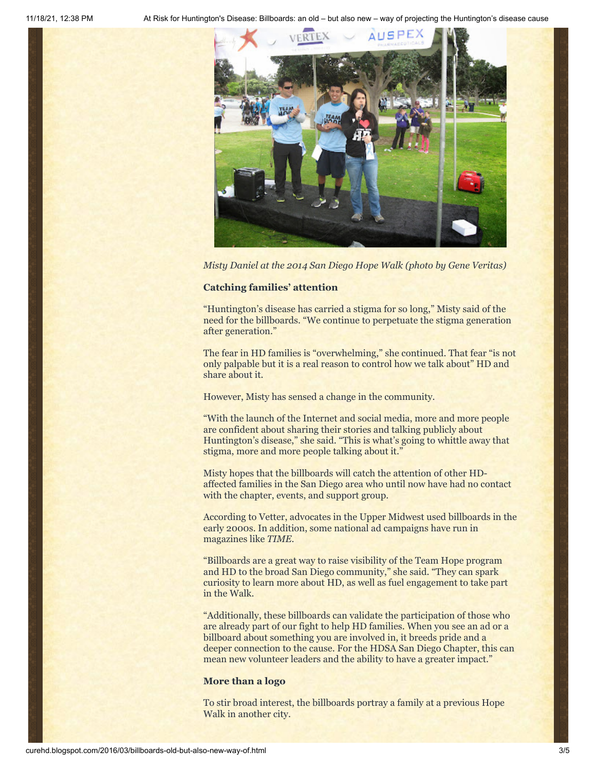11/18/21, 12:38 PM At Risk for Huntington's Disease: Billboards: an old – but also new – way of projecting the Huntington's disease cause



*Misty Daniel at the 2014 San Diego Hope Walk (photo by Gene Veritas)*

#### **Catching families' attention**

"Huntington's disease has carried a stigma for so long," Misty said of the need for the billboards. "We continue to perpetuate the stigma generation after generation."

The fear in HD families is "overwhelming," she continued. That fear "is not only palpable but it is a real reason to control how we talk about" HD and share about it.

However, Misty has sensed a change in the community.

"With the launch of the Internet and social media, more and more people are confident about sharing their stories and talking publicly about Huntington's disease," she said. "This is what's going to whittle away that stigma, more and more people talking about it."

Misty hopes that the billboards will catch the attention of other HDaffected families in the San Diego area who until now have had no contact with the chapter, events, and support group.

According to Vetter, advocates in the Upper Midwest used billboards in the early 2000s. In addition, some national ad campaigns have run in magazines like *TIME*.

"Billboards are a great way to raise visibility of the Team Hope program and HD to the broad San Diego community," she said. "They can spark curiosity to learn more about HD, as well as fuel engagement to take part in the Walk.

"Additionally, these billboards can validate the participation of those who are already part of our fight to help HD families. When you see an ad or a billboard about something you are involved in, it breeds pride and a deeper connection to the cause. For the HDSA San Diego Chapter, this can mean new volunteer leaders and the ability to have a greater impact."

#### **More than a logo**

To stir broad interest, the billboards portray a family at a previous Hope Walk in another city.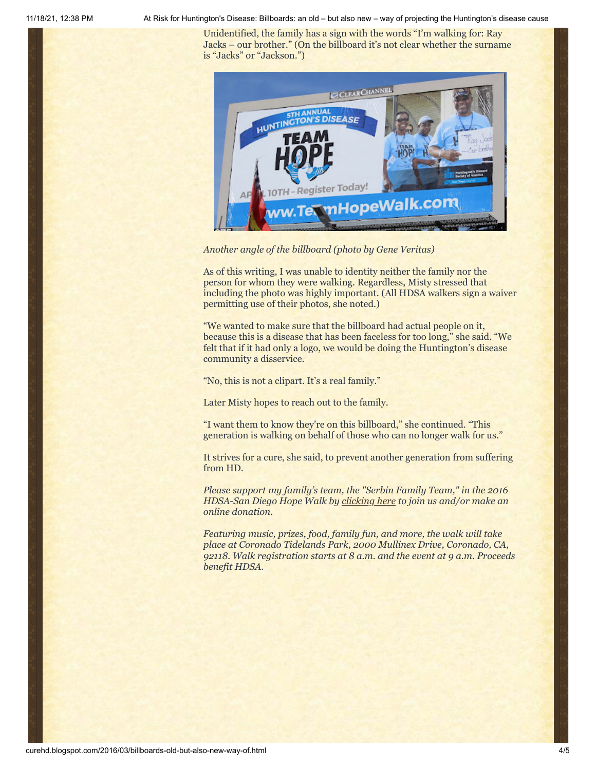11/18/21, 12:38 PM At Risk for Huntington's Disease: Billboards: an old – but also new – way of projecting the Huntington's disease cause

Unidentified, the family has a sign with the words "I'm walking for: Ray Jacks – our brother." (On the billboard it's not clear whether the surname is "Jacks" or "Jackson.")



*Another angle of the billboard (photo by Gene Veritas)*

As of this writing, I was unable to identity neither the family nor the person for whom they were walking. Regardless, Misty stressed that including the photo was highly important. (All HDSA walkers sign a waiver permitting use of their photos, she noted.)

"We wanted to make sure that the billboard had actual people on it, because this is a disease that has been faceless for too long," she said. "We felt that if it had only a logo, we would be doing the Huntington's disease community a disservice.

"No, this is not a clipart. It's a real family."

Later Misty hopes to reach out to the family.

"I want them to know they're on this billboard," she continued. "This generation is walking on behalf of those who can no longer walk for us."

It strives for a cure, she said, to prevent another generation from suffering from HD.

*Please support my family's team, the "Serbin Family Team," in the 2016 HDSA-San Diego Hope Walk by [clicking here](http://hdsa.donordrive.com/index.cfm?fuseaction=donorDrive.participant&participantID=14714) to join us and/or make an online donation.*

*Featuring music, prizes, food, family fun, and more, the walk will take place at Coronado Tidelands Park, 2000 Mullinex Drive, Coronado, CA, 92118. Walk registration starts at 8 a.m. and the event at 9 a.m. Proceeds benefit HDSA.*